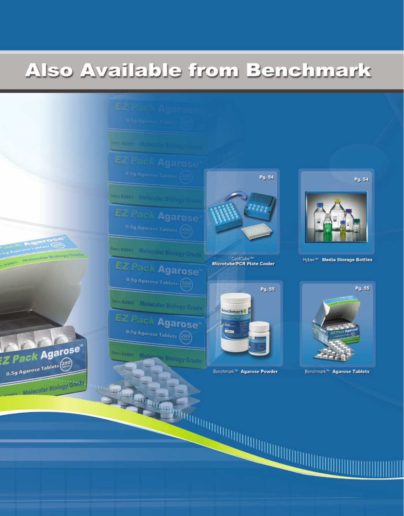# Also Available from Benchmark

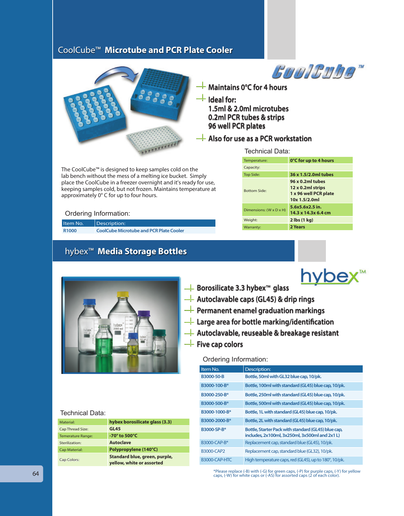# CoolCube™ **Microtube and PCR Plate Cooler**



**GUOICUDA Maintains 0°C for 4 hours**

**Ideal for: 1.5ml & 2.0ml microtubes 0.2ml PCR tubes & strips 96 well PCR plates**

**Also for use as a PCR workstation**

Technical Data:

The CoolCube™ is designed to keep samples cold on the lab bench without the mess of a melting ice bucket. Simply place the CoolCube in a freezer overnight and it's ready for use, keeping samples cold, but not frozen. Maintains temperature at approximately 0° C for up to four hours.

#### Ordering Information:

| Item No.          | Description:                                   |
|-------------------|------------------------------------------------|
| R <sub>1000</sub> | <b>CoolCube Microtube and PCR Plate Cooler</b> |

# hybex™ **Media Storage Bottles**

| Temperature:            | 0°C for up to 4 hours                                                           |
|-------------------------|---------------------------------------------------------------------------------|
| Capacity:               |                                                                                 |
| <b>Top Side:</b>        | 36 x 1.5/2.0ml tubes                                                            |
| <b>Bottom Side:</b>     | 96 x 0.2ml tubes<br>12 x 0.2ml strips<br>1 x 96 well PCR plate<br>10x 1.5/2.0ml |
| Dimensions: (W x D x H) | 5.6x5.6x2.5 in.<br>14.3 x 14.3x 6.4 cm                                          |
| Weight:                 | $2$ lbs $(1$ kg)                                                                |
| Warranty:               | 2 Years                                                                         |



| Technical Data:          |                                                            |
|--------------------------|------------------------------------------------------------|
| Material:                | hybex borosilicate glass (3.3)                             |
| Cap Thread Size:         | <b>GL45</b>                                                |
| <b>Temerature Range:</b> | $-70^\circ$ to 500 $^{\circ}$ C                            |
| Sterilization:           | <b>Autoclave</b>                                           |
| Cap Material:            | Polypropylene (140°C)                                      |
| Cap Colors:              | Standard blue, green, purple,<br>yellow, white or assorted |



- **Autoclavable caps (GL45) & drip rings**
- **Permanent enamel graduation markings**
- **Large area for bottle marking/identification**
- **Autoclavable, reuseable & breakage resistant**

## **Five cap colors**

#### Ordering Information:

| Item No.          | Description:                                                                                         |
|-------------------|------------------------------------------------------------------------------------------------------|
| B3000-50-B        | Bottle, 50ml with GL32 blue cap, 10/pk.                                                              |
| B3000-100-B*      | Bottle, 100ml with standard (GL45) blue cap, 10/pk.                                                  |
| B3000-250-B*      | Bottle, 250ml with standard (GL45) blue cap, 10/pk.                                                  |
| B3000-500-B*      | Bottle, 500ml with standard (GL45) blue cap, 10/pk.                                                  |
| B3000-1000-B*     | Bottle, 1L with standard (GL45) blue cap, 10/pk.                                                     |
| B3000-2000-B*     | Bottle, 2L with standard (GL45) blue cap, 10/pk.                                                     |
| B3000-SP-B*       | Bottle, Starter Pack with standard (GL45) blue cap,<br>includes, 2x100ml, 3x250ml, 3x500ml and 2x1L) |
| B3000-CAP-B*      | Replacement cap, standard blue (GL45), 10/pk.                                                        |
| <b>B3000-CAP2</b> | Replacement cap, standard blue (GL32), 10/pk.                                                        |
| B3000-CAP-HTC     | High temperature caps, red (GL45), up to 180°, 10/pk.                                                |

\*Please replace (-B) with (-G) for green caps, (-P) for purple caps, (-Y) for yellow caps, (-W) for white caps or (-AS) for assorted caps (2 of each color).